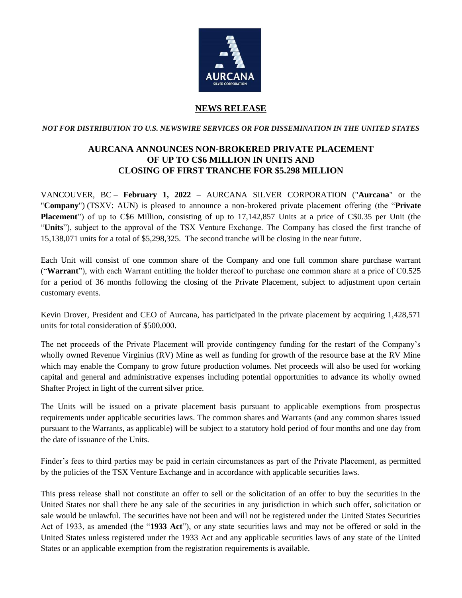

## **NEWS RELEASE**

*NOT FOR DISTRIBUTION TO U.S. NEWSWIRE SERVICES OR FOR DISSEMINATION IN THE UNITED STATES*

## **AURCANA ANNOUNCES NON-BROKERED PRIVATE PLACEMENT OF UP TO C\$6 MILLION IN UNITS AND CLOSING OF FIRST TRANCHE FOR \$5.298 MILLION**

VANCOUVER, BC – **February 1, 2022** – AURCANA SILVER CORPORATION ("**Aurcana**" or the "**Company**") (TSXV: AUN) is pleased to announce a non-brokered private placement offering (the "**Private Placement**") of up to C\$6 Million, consisting of up to 17,142,857 Units at a price of C\$0.35 per Unit (the "**Units**"), subject to the approval of the TSX Venture Exchange. The Company has closed the first tranche of 15,138,071 units for a total of \$5,298,325. The second tranche will be closing in the near future.

Each Unit will consist of one common share of the Company and one full common share purchase warrant ("**Warrant**"), with each Warrant entitling the holder thereof to purchase one common share at a price of C0.525 for a period of 36 months following the closing of the Private Placement, subject to adjustment upon certain customary events.

Kevin Drover, President and CEO of Aurcana, has participated in the private placement by acquiring 1,428,571 units for total consideration of \$500,000.

The net proceeds of the Private Placement will provide contingency funding for the restart of the Company's wholly owned Revenue Virginius (RV) Mine as well as funding for growth of the resource base at the RV Mine which may enable the Company to grow future production volumes. Net proceeds will also be used for working capital and general and administrative expenses including potential opportunities to advance its wholly owned Shafter Project in light of the current silver price.

The Units will be issued on a private placement basis pursuant to applicable exemptions from prospectus requirements under applicable securities laws. The common shares and Warrants (and any common shares issued pursuant to the Warrants, as applicable) will be subject to a statutory hold period of four months and one day from the date of issuance of the Units.

Finder's fees to third parties may be paid in certain circumstances as part of the Private Placement, as permitted by the policies of the TSX Venture Exchange and in accordance with applicable securities laws.

This press release shall not constitute an offer to sell or the solicitation of an offer to buy the securities in the United States nor shall there be any sale of the securities in any jurisdiction in which such offer, solicitation or sale would be unlawful. The securities have not been and will not be registered under the United States Securities Act of 1933, as amended (the "**1933 Act**"), or any state securities laws and may not be offered or sold in the United States unless registered under the 1933 Act and any applicable securities laws of any state of the United States or an applicable exemption from the registration requirements is available.